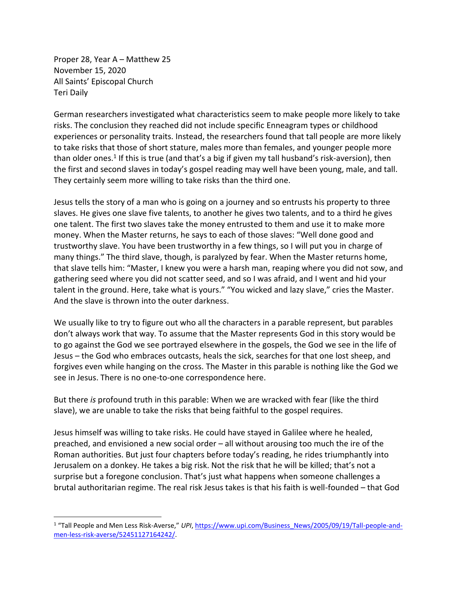Proper 28, Year A – Matthew 25 November 15, 2020 All Saints' Episcopal Church Teri Daily

German researchers investigated what characteristics seem to make people more likely to take risks. The conclusion they reached did not include specific Enneagram types or childhood experiences or personality traits. Instead, the researchers found that tall people are more likely to take risks that those of short stature, males more than females, and younger people more than older ones.<sup>1</sup> If this is true (and that's a big if given my tall husband's risk-aversion), then the first and second slaves in today's gospel reading may well have been young, male, and tall. They certainly seem more willing to take risks than the third one.

Jesus tells the story of a man who is going on a journey and so entrusts his property to three slaves. He gives one slave five talents, to another he gives two talents, and to a third he gives one talent. The first two slaves take the money entrusted to them and use it to make more money. When the Master returns, he says to each of those slaves: "Well done good and trustworthy slave. You have been trustworthy in a few things, so I will put you in charge of many things." The third slave, though, is paralyzed by fear. When the Master returns home, that slave tells him: "Master, I knew you were a harsh man, reaping where you did not sow, and gathering seed where you did not scatter seed, and so I was afraid, and I went and hid your talent in the ground. Here, take what is yours." "You wicked and lazy slave," cries the Master. And the slave is thrown into the outer darkness.

We usually like to try to figure out who all the characters in a parable represent, but parables don't always work that way. To assume that the Master represents God in this story would be to go against the God we see portrayed elsewhere in the gospels, the God we see in the life of Jesus – the God who embraces outcasts, heals the sick, searches for that one lost sheep, and forgives even while hanging on the cross. The Master in this parable is nothing like the God we see in Jesus. There is no one-to-one correspondence here.

But there *is* profound truth in this parable: When we are wracked with fear (like the third slave), we are unable to take the risks that being faithful to the gospel requires.

Jesus himself was willing to take risks. He could have stayed in Galilee where he healed, preached, and envisioned a new social order – all without arousing too much the ire of the Roman authorities. But just four chapters before today's reading, he rides triumphantly into Jerusalem on a donkey. He takes a big risk. Not the risk that he will be killed; that's not a surprise but a foregone conclusion. That's just what happens when someone challenges a brutal authoritarian regime. The real risk Jesus takes is that his faith is well-founded – that God

<sup>&</sup>lt;sup>1</sup> "Tall People and Men Less Risk-Averse," *UPI*, [https://www.upi.com/Business\\_News/2005/09/19/Tall-people-and](https://www.upi.com/Business_News/2005/09/19/Tall-people-and-men-less-risk-averse/52451127164242/)[men-less-risk-averse/52451127164242/.](https://www.upi.com/Business_News/2005/09/19/Tall-people-and-men-less-risk-averse/52451127164242/)